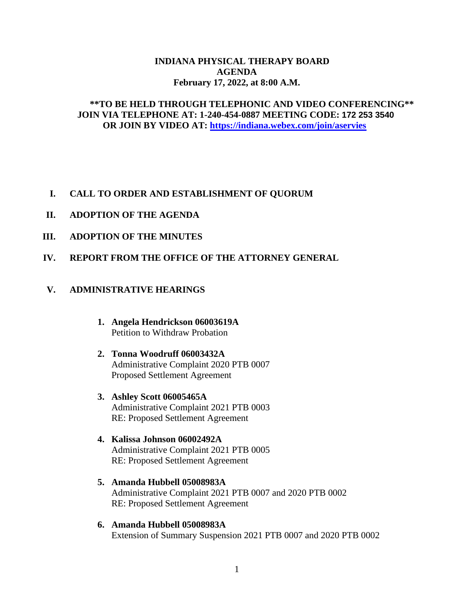#### **INDIANA PHYSICAL THERAPY BOARD AGENDA February 17, 2022, at 8:00 A.M.**

## **\*\*TO BE HELD THROUGH TELEPHONIC AND VIDEO CONFERENCING\*\* JOIN VIA TELEPHONE AT: 1-240-454-0887 MEETING CODE: 172 253 3540 OR JOIN BY VIDEO AT:<https://indiana.webex.com/join/aservies>**

## **I. CALL TO ORDER AND ESTABLISHMENT OF QUORUM**

- **II. ADOPTION OF THE AGENDA**
- **III. ADOPTION OF THE MINUTES**
- **IV. REPORT FROM THE OFFICE OF THE ATTORNEY GENERAL**

# **V. ADMINISTRATIVE HEARINGS**

- **1. Angela Hendrickson 06003619A** Petition to Withdraw Probation
- **2. Tonna Woodruff 06003432A** Administrative Complaint 2020 PTB 0007 Proposed Settlement Agreement
- **3. Ashley Scott 06005465A** Administrative Complaint 2021 PTB 0003 RE: Proposed Settlement Agreement
- **4. Kalissa Johnson 06002492A** Administrative Complaint 2021 PTB 0005 RE: Proposed Settlement Agreement
- **5. Amanda Hubbell 05008983A** Administrative Complaint 2021 PTB 0007 and 2020 PTB 0002 RE: Proposed Settlement Agreement
- **6. Amanda Hubbell 05008983A** Extension of Summary Suspension 2021 PTB 0007 and 2020 PTB 0002